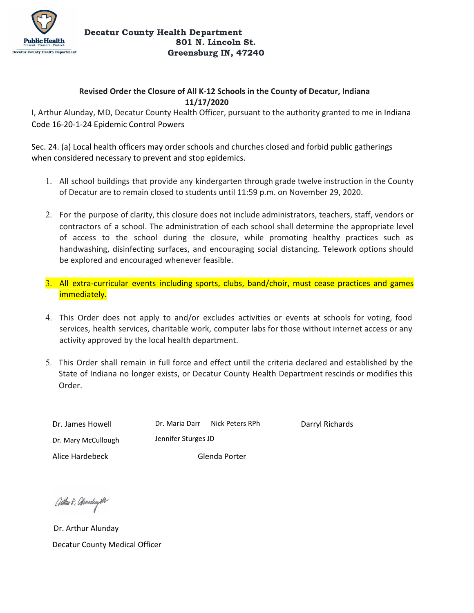

## **Revised Order the Closure of All K-12 Schools in the County of Decatur, Indiana 11/17/2020**

I, Arthur Alunday, MD, Decatur County Health Officer, pursuant to the authority granted to me in Indiana Code 16-20-1-24 Epidemic Control Powers

Sec. 24. (a) Local health officers may order schools and churches closed and forbid public gatherings when considered necessary to prevent and stop epidemics.

- 1. All school buildings that provide any kindergarten through grade twelve instruction in the County of Decatur are to remain closed to students until 11:59 p.m. on November 29, 2020.
- 2. For the purpose of clarity, this closure does not include administrators, teachers, staff, vendors or contractors of a school. The administration of each school shall determine the appropriate level of access to the school during the closure, while promoting healthy practices such as handwashing, disinfecting surfaces, and encouraging social distancing. Telework options should be explored and encouraged whenever feasible.
- 3. All extra-curricular events including sports, clubs, band/choir, must cease practices and games immediately.
- 4. This Order does not apply to and/or excludes activities or events at schools for voting, food services, health services, charitable work, computer labs for those without internet access or any activity approved by the local health department.
- 5. This Order shall remain in full force and effect until the criteria declared and established by the State of Indiana no longer exists, or Decatur County Health Department rescinds or modifies this Order.

Dr. James Howell Dr. Mary McCullough Alice Hardebeck Glenda Porter

Dr. Maria Darr Nick Peters RPh Jennifer Sturges JD

Darryl Richards

Aithm 8, Qamdcupth

Dr. Arthur Alunday Decatur County Medical Officer